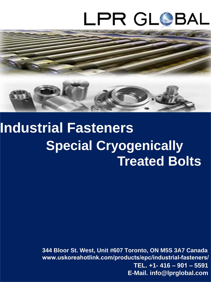# LPR GLOBAL



## **Industrial Fasteners Special Cryogenically Treated Bolts**

 **TEL. +1- 416 – 901 – 5591 E-Mail. info@lprglobal.com 344 Bloor St. West, Unit #607 Toronto, ON M5S 3A7 Canada www.uskoreahotlink.com/products/epc/industrial-fasteners/**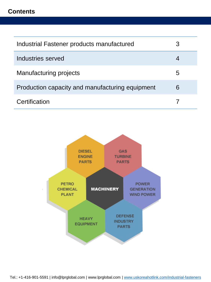#### **Contents**

| Industrial Fastener products manufactured       |   |
|-------------------------------------------------|---|
| Industries served                               |   |
| <b>Manufacturing projects</b>                   | 5 |
| Production capacity and manufacturing equipment | 6 |
| Certification                                   |   |

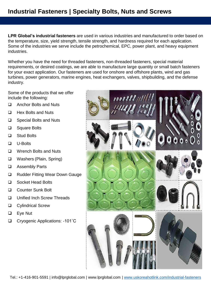### **Industrial Fasteners | Specialty Bolts, Nuts and Screws**

**LPR Global's industrial fasteners** are used in various industries and manufactured to order based on the temperature, size, yield strength, tensile strength, and hardness required for each application. Some of the industries we serve include the petrochemical, EPC, power plant, and heavy equipment industries.

Whether you have the need for threaded fasteners, non-threaded fasteners, special material requirements, or desired coatings, we are able to manufacture large quantity or small batch fasteners for your exact application. Our fasteners are used for onshore and offshore plants, wind and gas turbines, power generators, marine engines, heat exchangers, valves, shipbuilding, and the defense industry.

Some of the products that we offer include the following:

- □ Anchor Bolts and Nuts
- $\Box$  Hex Bolts and Nuts
- □ Special Bolts and Nuts
- □ Square Bolts
- □ Stud Bolts
- U-Bolts
- □ Wrench Bolts and Nuts
- Washers (Plain, Spring)
- Assembly Parts
- □ Rudder Fitting Wear Down Gauge
- □ Socket Head Bolts
- □ Counter Sunk Bolt
- □ Unified Inch Screw Threads
- **Q** Cylindrical Screw
- □ Eye Nut
- Cryogenic Applications: -101˚C

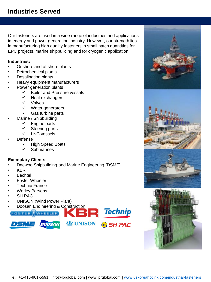Our fasteners are used in a wide range of industries and applications in energy and power generation industry. However, our strength lies in manufacturing high quality fasteners in small batch quantities for EPC projects, marine shipbuilding and for cryogenic application.

#### **Industries:**

- Onshore and offshore plants
- Petrochemical plants
- Desalination plants
- Heavy equipment manufacturers
- Power generation plants
	- $\checkmark$  Boiler and Pressure vessels
		- $\checkmark$  Heat exchangers
		- $\checkmark$  Valves
		- $\checkmark$  Water generators
	- $\checkmark$  Gas turbine parts
- Marine / Shipbuilding
	- $\checkmark$  Engine parts
	- Steering parts
	- $\checkmark$  LNG vessels
- Defense
	- $\checkmark$  High Speed Boats
	- $\checkmark$  Submarines

#### **Exemplary Clients:**

- Daewoo Shipbuilding and Marine Engineering (DSME)
- KBR
- **Bechtel**
- Foster Wheeler
- Technip France
- **Worley Parsons**
- SH PAC
- UNISON (Wind Power Plant)



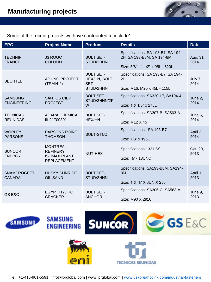

Some of the recent projects we have contributed to include:

| <b>EPC</b>                           | <b>Project Name</b>                                                             | <b>Product</b>                                        | <b>Details</b>                                                                                      | <b>Date</b>      |
|--------------------------------------|---------------------------------------------------------------------------------|-------------------------------------------------------|-----------------------------------------------------------------------------------------------------|------------------|
| <b>TECHNIP</b><br><b>FRANCE</b>      | J3 ROGC<br><b>COLUMN</b>                                                        | <b>BOLT SET-</b><br>STUD/2HHN                         | Specifications: SA 193-B7, SA 194-<br>2H, SA 193-B8M, SA 194-8M<br>Size: 5/8" - 1 1/2" x 95L - 520L | Aug. 31,<br>2014 |
| <b>BECHTEL</b>                       | AP LNG PROJECT<br>(TRAIN-2)                                                     | <b>BOLT SET-</b><br>HEX/HN, BOLT<br>SET-<br>STUD/2HHN | Specifications: SA 193-B7, SA 194-<br>2H<br>Size: M16, M20 x 45L - 115L                             | July 7,<br>2014  |
| <b>SAMSUNG</b><br><b>ENGINEERING</b> | <b>SANTOS CIEP</b><br><b>PROJECT</b>                                            | <b>BOLT SET-</b><br>STUD/2HHN/2P<br>W                 | Specifications: SA320-L7, SA194-4<br>Size: 1 & 1/8" x 275L                                          | June 2,<br>2014  |
| <b>TECNICAS</b><br><b>REUNIDAS</b>   | <b>ADARA CHEMICAL</b><br>III-21700301                                           | <b>BOLT SET-</b><br><b>HEX/HN</b>                     | Specifications: SA307-B, SA563-A<br>Size: M12 X 45                                                  | June 5,<br>2014  |
| <b>WORLEY</b><br><b>PARSONS</b>      | <b>PARSONS POINT</b><br><b>THOMSON</b>                                          | <b>BOLT-STUD</b>                                      | Specifications: SA 193-B7<br>Size: 7/8" x 195L                                                      | April 3,<br>2014 |
| <b>SUNCOR</b><br><b>ENERGY</b>       | <b>MONTREAL</b><br><b>REFINERY</b><br><b>ISOMAX PLANT</b><br><b>REPLACEMENT</b> | NUT-HEX                                               | Specifications: 321 SS<br>Size: 1/2" - 13UNC                                                        | Oct. 20,<br>2013 |
| <b>SNAMPROGETTI</b><br><b>CANADA</b> | <b>HUSKY SUNRISE</b><br><b>OIL SAND</b>                                         | <b>BOLT SET-</b><br>STUD/2HHN                         | Specifications: SA193-B8M, SA194-<br>8M<br>Size: 1 & 1/2" X 8UN X 250                               | April 1,<br>2013 |
| GS E&C                               | <b>EGYPT HYDRO</b><br><b>CRACKER</b>                                            | <b>BOLT SET-</b><br><b>ANCHOR</b>                     | Specifications: SA306-C, SA563-A<br>Size: M90 X 2910                                                | June 9,<br>2013  |



Tel.: +1-416-901-5591 | info@lprglobal.com | www.lprglobal.com | [www.uskoreahotlink.com/industrial-fasteners](http://www.uskoreahotlink.com/industrial-fasteners)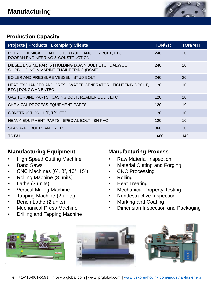

#### **Production Capacity**

| <b>Projects   Products   Exemplary Clients</b>                                                       | <b>TON/YR</b> | <b>TON/MTH</b> |
|------------------------------------------------------------------------------------------------------|---------------|----------------|
| PETRO CHEMICAL PLANT   STUD BOLT, ANCHOR BOLT, ETC  <br><b>DOOSAN ENGINEERING &amp; CONSTRUCTION</b> | 240           | 20             |
| DIESEL ENGINE PARTS   HOLDING DOWN BOLT ETC   DAEWOO<br>SHIPBUILDING & MARINE ENGINEERING (DSME)     | 240           | 20             |
| BOILER AND PRESSURE VESSEL   STUD BOLT                                                               | 240           | 20             |
| HEAT EXCHANGER AND GRESH WATER GENERATOR   TIGHTENING BOLT,<br>ETC   DONGWHA ENTEC                   | 120           | 10             |
| GAS TURBINE PARTS   CASING BOLT, REAMER BOLT, ETC                                                    | 120           | 10             |
| CHEMICAL PROCESS EQUIPMENT PARTS                                                                     | 120           | 10             |
| CONSTRUCTION   H/T, T/S, ETC                                                                         | 120           | 10             |
| HEAVY EQUIPMENT PARTS   SPECIAL BOLT   SH PAC                                                        | 120           | 10             |
| STANDARD BOLTS AND NUTS                                                                              | 360           | 30             |
| <b>TOTAL</b>                                                                                         | 1680          | 140            |

#### **Manufacturing Equipment**

- High Speed Cutting Machine
- **Band Saws**
- CNC Machines (6", 8", 10", 15")
- Rolling Machine (3 units)
- Lathe (3 units)
- Vertical Milling Machine
- Tapping Machine (2 units)
- Bench Lathe (2 units)
- Mechanical Press Machine
- Drilling and Tapping Machine

#### **Manufacturing Process**

- Raw Material Inspection
- **Material Cutting and Forging**
- **CNC Processing**
- Rolling
- **Heat Treating**
- Mechanical Property Testing
- Nondestructive Inspection
- Marking and Coating
- Dimension Inspection and Packaging

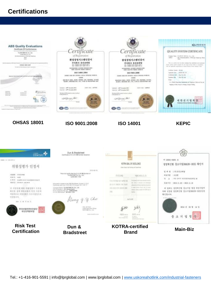### **Certifications**





Tel.: +1-416-901-5591 | info@lprglobal.com | www.lprglobal.com | [www.uskoreahotlink.com/industrial-fasteners](http://www.uskoreahotlink.com/industrial-fasteners)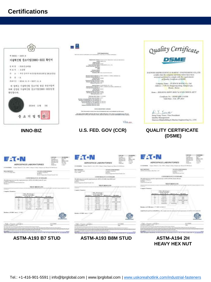